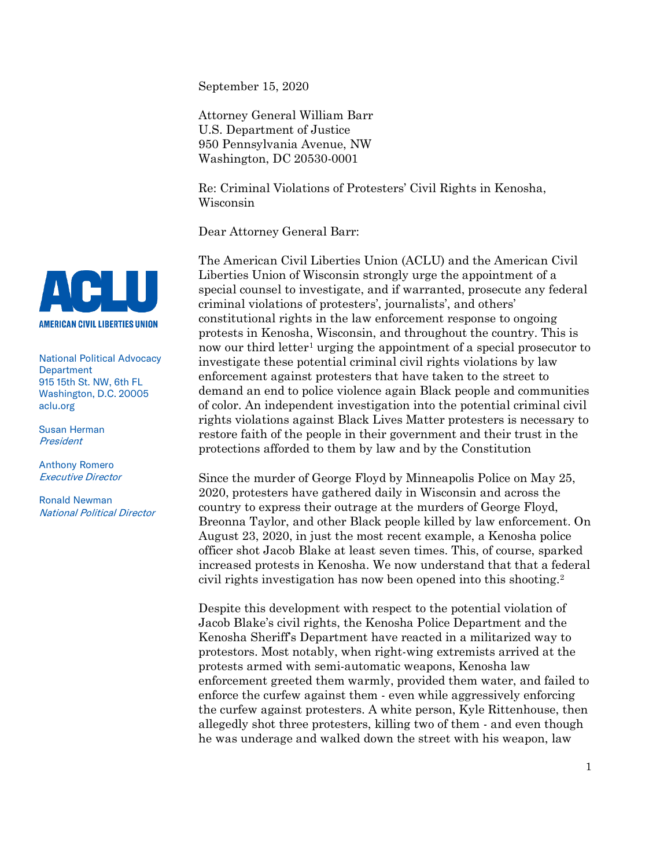September 15, 2020

Attorney General William Barr U.S. Department of Justice 950 Pennsylvania Avenue, NW Washington, DC 20530-0001

Re: Criminal Violations of Protesters' Civil Rights in Kenosha, Wisconsin

Dear Attorney General Barr:

The American Civil Liberties Union (ACLU) and the American Civil Liberties Union of Wisconsin strongly urge the appointment of a special counsel to investigate, and if warranted, prosecute any federal criminal violations of protesters', journalists', and others' constitutional rights in the law enforcement response to ongoing protests in Kenosha, Wisconsin, and throughout the country. This is now our third letter<sup>[1](#page-0-0)</sup> urging the appointment of a special prosecutor to investigate these potential criminal civil rights violations by law enforcement against protesters that have taken to the street to demand an end to police violence again Black people and communities of color. An independent investigation into the potential criminal civil rights violations against Black Lives Matter protesters is necessary to restore faith of the people in their government and their trust in the protections afforded to them by law and by the Constitution

Since the murder of George Floyd by Minneapolis Police on May 25, 2020, protesters have gathered daily in Wisconsin and across the country to express their outrage at the murders of George Floyd, Breonna Taylor, and other Black people killed by law enforcement. On August 23, 2020, in just the most recent example, a Kenosha police officer shot Jacob Blake at least seven times. This, of course, sparked increased protests in Kenosha. We now understand that that a federal civil rights investigation has now been opened into this shooting.[2](#page-0-1)

Despite this development with respect to the potential violation of Jacob Blake's civil rights, the Kenosha Police Department and the Kenosha Sheriff's Department have reacted in a militarized way to protestors. Most notably, when right-wing extremists arrived at the protests armed with semi-automatic weapons, Kenosha law enforcement greeted them warmly, provided them water, and failed to enforce the curfew against them - even while aggressively enforcing the curfew against protesters. A white person, Kyle Rittenhouse, then allegedly shot three protesters, killing two of them - and even though he was underage and walked down the street with his weapon, law



National Political Advocacy **Department** 915 15th St. NW, 6th FL Washington, D.C. 20005 aclu.org

Susan Herman **President** 

Anthony Romero Executive Director

<span id="page-0-1"></span><span id="page-0-0"></span>Ronald Newman National Political Director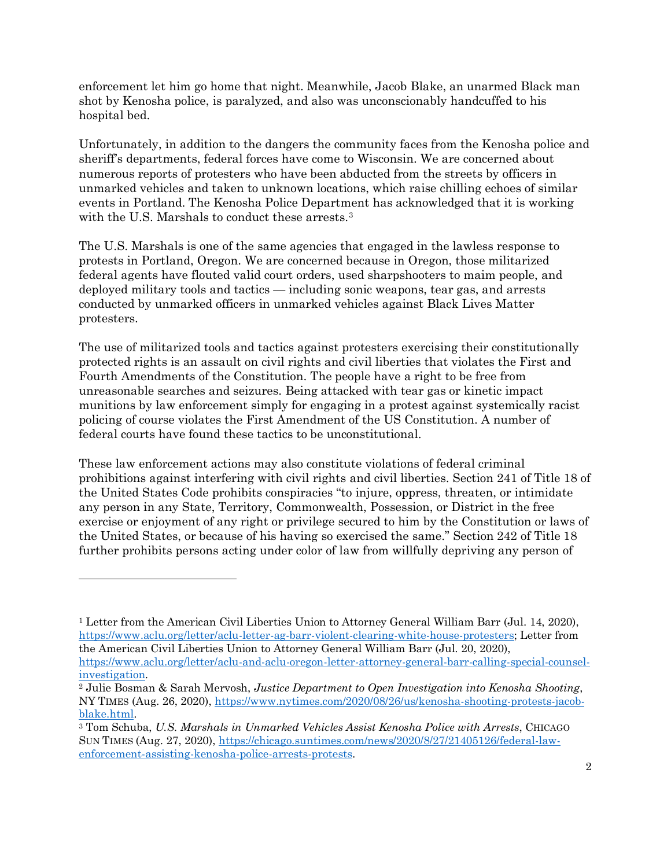enforcement let him go home that night. Meanwhile, Jacob Blake, an unarmed Black man shot by Kenosha police, is paralyzed, and also was unconscionably handcuffed to his hospital bed.

Unfortunately, in addition to the dangers the community faces from the Kenosha police and sheriff's departments, federal forces have come to Wisconsin. We are concerned about numerous reports of protesters who have been abducted from the streets by officers in unmarked vehicles and taken to unknown locations, which raise chilling echoes of similar events in Portland. The Kenosha Police Department has acknowledged that it is working with the U.S. Marshals to conduct these arrests.<sup>[3](#page-1-0)</sup>

The U.S. Marshals is one of the same agencies that engaged in the lawless response to protests in Portland, Oregon. We are concerned because in Oregon, those militarized federal agents have flouted valid court orders, used sharpshooters to maim people, and deployed military tools and tactics — including sonic weapons, tear gas, and arrests conducted by unmarked officers in unmarked vehicles against Black Lives Matter protesters.

The use of militarized tools and tactics against protesters exercising their constitutionally protected rights is an assault on civil rights and civil liberties that violates the First and Fourth Amendments of the Constitution. The people have a right to be free from unreasonable searches and seizures. Being attacked with tear gas or kinetic impact munitions by law enforcement simply for engaging in a protest against systemically racist policing of course violates the First Amendment of the US Constitution. A number of federal courts have found these tactics to be unconstitutional.

These law enforcement actions may also constitute violations of federal criminal prohibitions against interfering with civil rights and civil liberties. Section 241 of Title 18 of the United States Code prohibits conspiracies "to injure, oppress, threaten, or intimidate any person in any State, Territory, Commonwealth, Possession, or District in the free exercise or enjoyment of any right or privilege secured to him by the Constitution or laws of the United States, or because of his having so exercised the same." Section 242 of Title 18 further prohibits persons acting under color of law from willfully depriving any person of

 $\overline{a}$ 

<sup>&</sup>lt;sup>1</sup> Letter from the American Civil Liberties Union to Attorney General William Barr (Jul. 14, 2020), [https://www.aclu.org/letter/aclu-letter-ag-barr-violent-clearing-white-house-protesters;](https://www.aclu.org/letter/aclu-letter-ag-barr-violent-clearing-white-house-protesters) Letter from the American Civil Liberties Union to Attorney General William Barr (Jul. 20, 2020), [https://www.aclu.org/letter/aclu-and-aclu-oregon-letter-attorney-general-barr-calling-special-counsel-](https://www.aclu.org/letter/aclu-and-aclu-oregon-letter-attorney-general-barr-calling-special-counsel-investigation)

[investigation.](https://www.aclu.org/letter/aclu-and-aclu-oregon-letter-attorney-general-barr-calling-special-counsel-investigation) 2 Julie Bosman & Sarah Mervosh, *Justice Department to Open Investigation into Kenosha Shooting*, NY TIMES (Aug. 26, 2020), [https://www.nytimes.com/2020/08/26/us/kenosha-shooting-protests-jacob-](https://www.nytimes.com/2020/08/26/us/kenosha-shooting-protests-jacob-blake.html)

<span id="page-1-0"></span>[blake.html.](https://www.nytimes.com/2020/08/26/us/kenosha-shooting-protests-jacob-blake.html) 3 Tom Schuba, *U.S. Marshals in Unmarked Vehicles Assist Kenosha Police with Arrests*, CHICAGO SUN TIMES (Aug. 27, 2020), [https://chicago.suntimes.com/news/2020/8/27/21405126/federal-law](https://chicago.suntimes.com/news/2020/8/27/21405126/federal-law-enforcement-assisting-kenosha-police-arrests-protests)[enforcement-assisting-kenosha-police-arrests-protests.](https://chicago.suntimes.com/news/2020/8/27/21405126/federal-law-enforcement-assisting-kenosha-police-arrests-protests)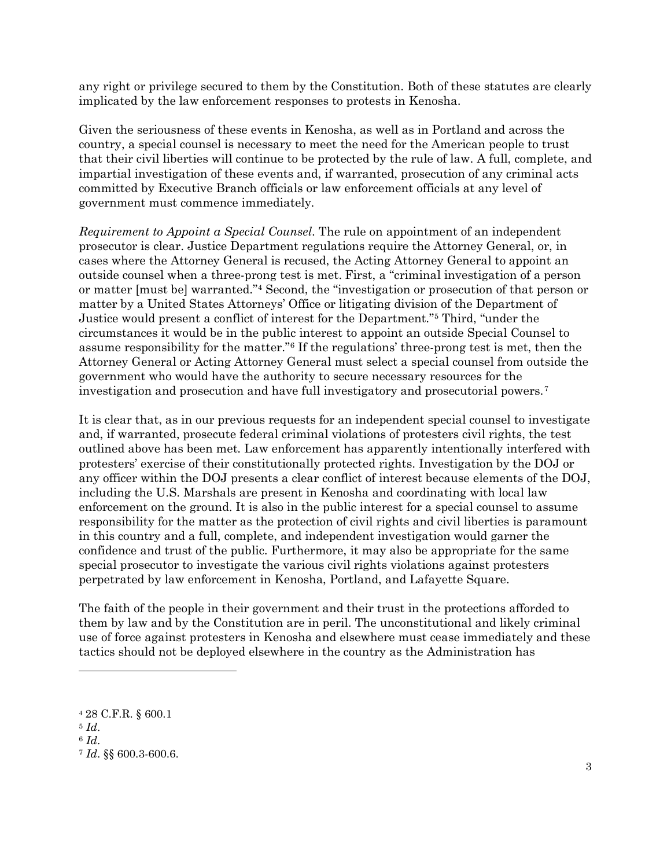any right or privilege secured to them by the Constitution. Both of these statutes are clearly implicated by the law enforcement responses to protests in Kenosha.

Given the seriousness of these events in Kenosha, as well as in Portland and across the country, a special counsel is necessary to meet the need for the American people to trust that their civil liberties will continue to be protected by the rule of law. A full, complete, and impartial investigation of these events and, if warranted, prosecution of any criminal acts committed by Executive Branch officials or law enforcement officials at any level of government must commence immediately.

*Requirement to Appoint a Special Counsel*. The rule on appointment of an independent prosecutor is clear. Justice Department regulations require the Attorney General, or, in cases where the Attorney General is recused, the Acting Attorney General to appoint an outside counsel when a three-prong test is met. First, a "criminal investigation of a person or matter [must be] warranted.["4](#page-2-0) Second, the "investigation or prosecution of that person or matter by a United States Attorneys' Office or litigating division of the Department of Justice would present a conflict of interest for the Department.["5](#page-2-1) Third, "under the circumstances it would be in the public interest to appoint an outside Special Counsel to assume responsibility for the matter."[6](#page-2-2) If the regulations' three-prong test is met, then the Attorney General or Acting Attorney General must select a special counsel from outside the government who would have the authority to secure necessary resources for the investigation and prosecution and have full investigatory and prosecutorial powers.[7](#page-2-3)

It is clear that, as in our previous requests for an independent special counsel to investigate and, if warranted, prosecute federal criminal violations of protesters civil rights, the test outlined above has been met. Law enforcement has apparently intentionally interfered with protesters' exercise of their constitutionally protected rights. Investigation by the DOJ or any officer within the DOJ presents a clear conflict of interest because elements of the DOJ, including the U.S. Marshals are present in Kenosha and coordinating with local law enforcement on the ground. It is also in the public interest for a special counsel to assume responsibility for the matter as the protection of civil rights and civil liberties is paramount in this country and a full, complete, and independent investigation would garner the confidence and trust of the public. Furthermore, it may also be appropriate for the same special prosecutor to investigate the various civil rights violations against protesters perpetrated by law enforcement in Kenosha, Portland, and Lafayette Square.

The faith of the people in their government and their trust in the protections afforded to them by law and by the Constitution are in peril. The unconstitutional and likely criminal use of force against protesters in Kenosha and elsewhere must cease immediately and these tactics should not be deployed elsewhere in the country as the Administration has

 $\overline{a}$ 

<span id="page-2-0"></span><sup>4</sup> 28 C.F.R. § 600.1

<span id="page-2-1"></span><sup>5</sup> *Id*.

<span id="page-2-2"></span> $6$   $Id.$ 

<span id="page-2-3"></span><sup>7</sup> *Id*. §§ 600.3-600.6.